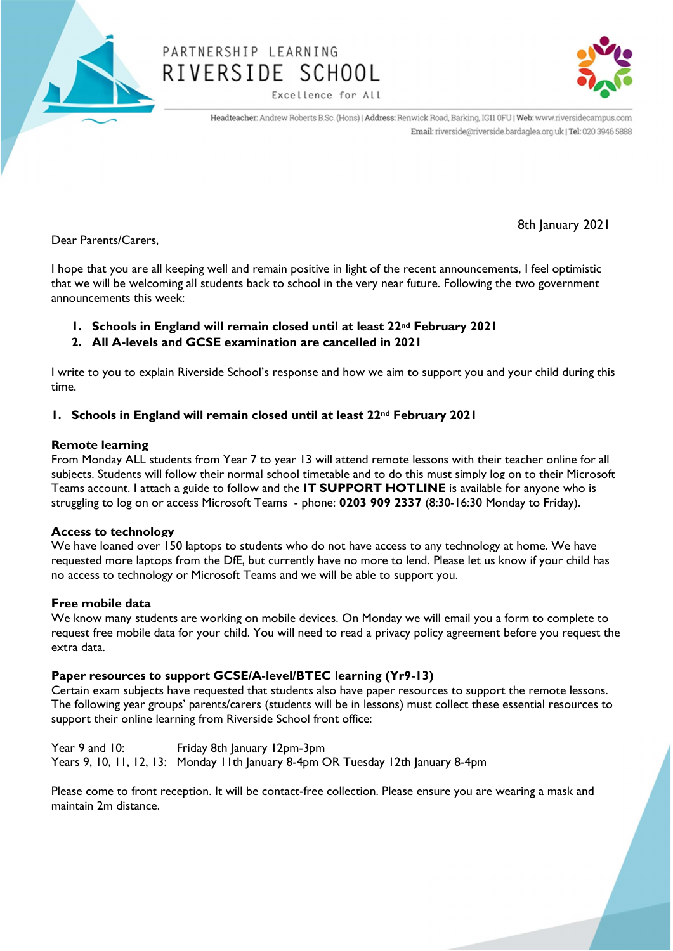

# PARTNERSHIP LEARNING RIVERSIDE SCHOOL

Excellence for All



Headteacher: Andrew Roberts B.Sc. (Hons) | Address: Renwick Road, Barking, IG11 0FU | Web: www.riversidecampus.com Email: riverside@riverside.bardaglea.org.uk | Tel: 020 3946 5888

Dear Parents/Carers,

8th January 2021

I hope that you are all keeping well and remain positive in light of the recent announcements, I feel optimistic that we will be welcoming all students back to school in the very near future. Following the two government announcements this week:

- 1. Schools in England will remain closed until at least 22<sup>nd</sup> February 2021
- 2. All A-levels and GCSE examination are cancelled in 2021

I write to you to explain Riverside School's response and how we aim to support you and your child during this time.

## 1. Schools in England will remain closed until at least 22<sup>nd</sup> February 2021

## Remote learning

From Monday ALL students from Year 7 to year 13 will attend remote lessons with their teacher online for all subjects. Students will follow their normal school timetable and to do this must simply log on to their Microsoft Teams account. I attach a guide to follow and the IT SUPPORT HOTLINE is available for anyone who is struggling to log on or access Microsoft Teams - phone: 0203 909 2337 (8:30-16:30 Monday to Friday).

## Access to technology

We have loaned over 150 laptops to students who do not have access to any technology at home. We have requested more laptops from the DfE, but currently have no more to lend. Please let us know if your child has no access to technology or Microsoft Teams and we will be able to support you.

## Free mobile data

We know many students are working on mobile devices. On Monday we will email you a form to complete to request free mobile data for your child. You will need to read a privacy policy agreement before you request the extra data.

## Paper resources to support GCSE/A-level/BTEC learning (Yr9-13)

Certain exam subjects have requested that students also have paper resources to support the remote lessons. The following year groups' parents/carers (students will be in lessons) must collect these essential resources to support their online learning from Riverside School front office:

Year 9 and 10: Friday 8th January 12pm-3pm Years 9, 10, 11, 12, 13: Monday 11th January 8-4pm OR Tuesday 12th January 8-4pm

Please come to front reception. It will be contact-free collection. Please ensure you are wearing a mask and maintain 2m distance.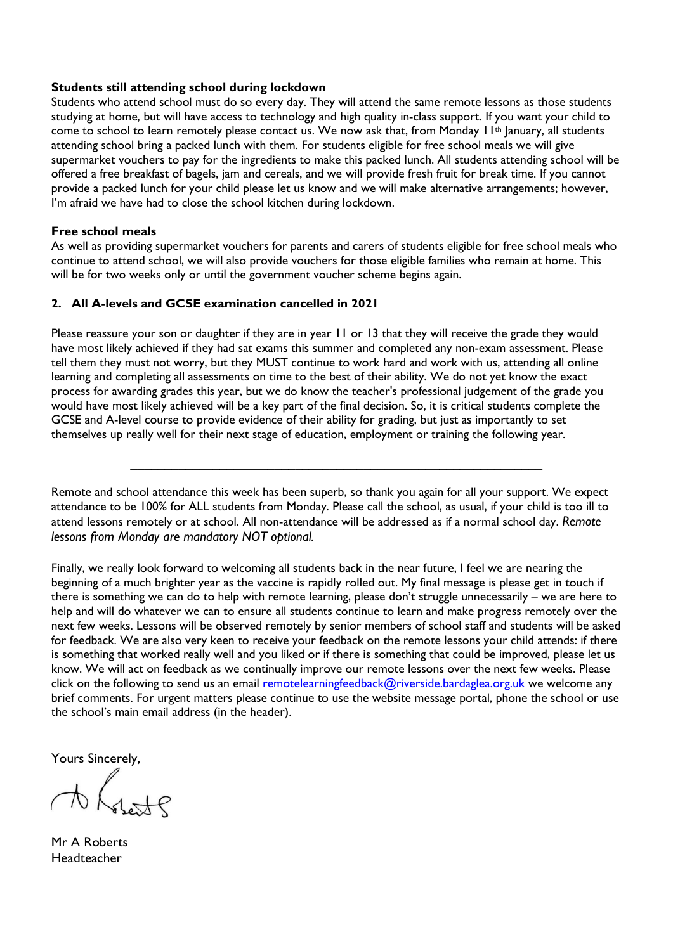#### Students still attending school during lockdown

Students who attend school must do so every day. They will attend the same remote lessons as those students studying at home, but will have access to technology and high quality in-class support. If you want your child to come to school to learn remotely please contact us. We now ask that, from Monday 11th January, all students attending school bring a packed lunch with them. For students eligible for free school meals we will give supermarket vouchers to pay for the ingredients to make this packed lunch. All students attending school will be offered a free breakfast of bagels, jam and cereals, and we will provide fresh fruit for break time. If you cannot provide a packed lunch for your child please let us know and we will make alternative arrangements; however, I'm afraid we have had to close the school kitchen during lockdown.

#### Free school meals

As well as providing supermarket vouchers for parents and carers of students eligible for free school meals who continue to attend school, we will also provide vouchers for those eligible families who remain at home. This will be for two weeks only or until the government voucher scheme begins again.

#### 2. All A-levels and GCSE examination cancelled in 2021

Please reassure your son or daughter if they are in year 11 or 13 that they will receive the grade they would have most likely achieved if they had sat exams this summer and completed any non-exam assessment. Please tell them they must not worry, but they MUST continue to work hard and work with us, attending all online learning and completing all assessments on time to the best of their ability. We do not yet know the exact process for awarding grades this year, but we do know the teacher's professional judgement of the grade you would have most likely achieved will be a key part of the final decision. So, it is critical students complete the GCSE and A-level course to provide evidence of their ability for grading, but just as importantly to set themselves up really well for their next stage of education, employment or training the following year.

Remote and school attendance this week has been superb, so thank you again for all your support. We expect attendance to be 100% for ALL students from Monday. Please call the school, as usual, if your child is too ill to attend lessons remotely or at school. All non-attendance will be addressed as if a normal school day. Remote lessons from Monday are mandatory NOT optional.

 $\_$  , and the set of the set of the set of the set of the set of the set of the set of the set of the set of the set of the set of the set of the set of the set of the set of the set of the set of the set of the set of th

Finally, we really look forward to welcoming all students back in the near future, I feel we are nearing the beginning of a much brighter year as the vaccine is rapidly rolled out. My final message is please get in touch if there is something we can do to help with remote learning, please don't struggle unnecessarily – we are here to help and will do whatever we can to ensure all students continue to learn and make progress remotely over the next few weeks. Lessons will be observed remotely by senior members of school staff and students will be asked for feedback. We are also very keen to receive your feedback on the remote lessons your child attends: if there is something that worked really well and you liked or if there is something that could be improved, please let us know. We will act on feedback as we continually improve our remote lessons over the next few weeks. Please click on the following to send us an email remotelearningfeedback@riverside.bardaglea.org.uk we welcome any brief comments. For urgent matters please continue to use the website message portal, phone the school or use the school's main email address (in the header).

Yours Sincerely,

 $\Lambda$ 

Mr A Roberts **Headteacher**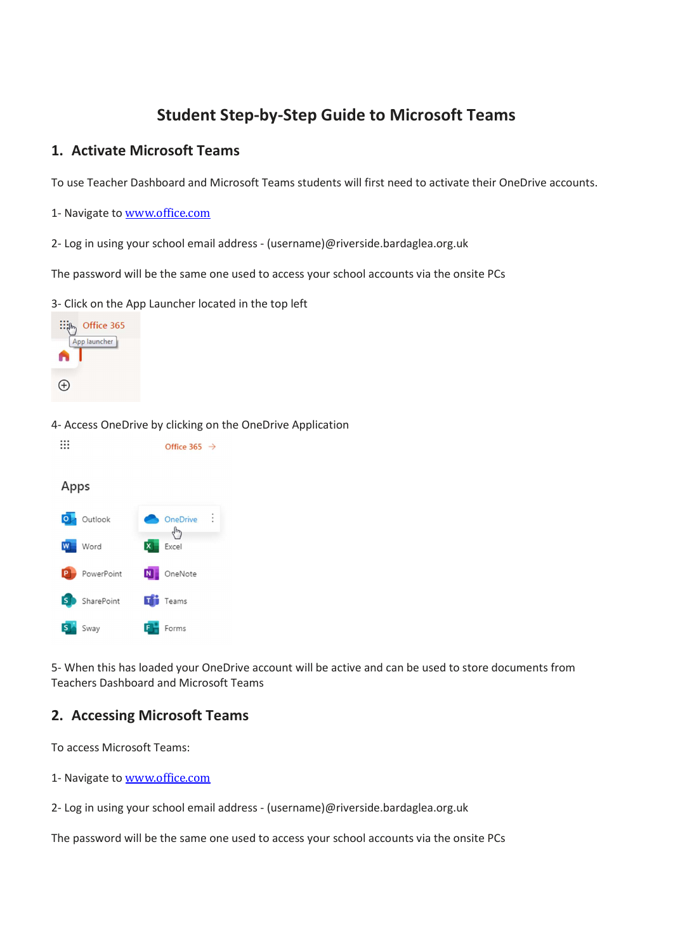## Student Step-by-Step Guide to Microsoft Teams

## 1. Activate Microsoft Teams

To use Teacher Dashboard and Microsoft Teams students will first need to activate their OneDrive accounts.

- 1- Navigate to www.office.com
- 2- Log in using your school email address (username)@riverside.bardaglea.org.uk

The password will be the same one used to access your school accounts via the onsite PCs

3- Click on the App Launcher located in the top left



4- Access OneDrive by clicking on the OneDrive Application

```
\dddot{...}Office 365 \rightarrowApps
O Outlook
                            OneDrive
                               Υp
 W Word
                            Excel
    PowerPoint
                       N OneNote
     SharePoint
                         \mathbf{F} Teams
     Sway
                            Forms
```
5- When this has loaded your OneDrive account will be active and can be used to store documents from Teachers Dashboard and Microsoft Teams

## 2. Accessing Microsoft Teams

To access Microsoft Teams:

- 1- Navigate to www.office.com
- 2- Log in using your school email address (username)@riverside.bardaglea.org.uk

The password will be the same one used to access your school accounts via the onsite PCs